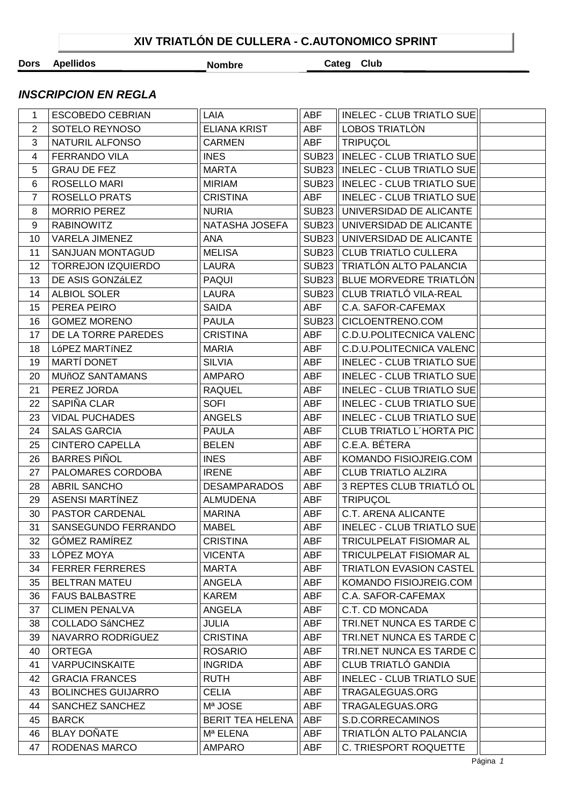## **XIV TRIATLÓN DE CULLERA - C.AUTONOMICO SPRINT**

**Dors Apellidos Nombre Categ Club**

## *INSCRIPCION EN REGLA*

| 1  | <b>ESCOBEDO CEBRIAN</b>   | LAIA                    | ABF          | INELEC - CLUB TRIATLO SUE          |  |
|----|---------------------------|-------------------------|--------------|------------------------------------|--|
| 2  | SOTELO REYNOSO            | <b>ELIANA KRIST</b>     | <b>ABF</b>   | LOBOS TRIATLÒN                     |  |
| 3  | NATURIL ALFONSO           | <b>CARMEN</b>           | <b>ABF</b>   | <b>TRIPUÇOL</b>                    |  |
| 4  | FERRANDO VILA             | <b>INES</b>             | <b>SUB23</b> | <b>INELEC - CLUB TRIATLO SUE</b>   |  |
| 5  | <b>GRAU DE FEZ</b>        | <b>MARTA</b>            | <b>SUB23</b> | <b>INELEC - CLUB TRIATLO SUE</b>   |  |
| 6  | ROSELLO MARI              | <b>MIRIAM</b>           |              | SUB23    INELEC - CLUB TRIATLO SUE |  |
| 7  | ROSELLO PRATS             | <b>CRISTINA</b>         | <b>ABF</b>   | <b>INELEC - CLUB TRIATLO SUE</b>   |  |
| 8  | <b>MORRIO PEREZ</b>       | <b>NURIA</b>            | <b>SUB23</b> | UNIVERSIDAD DE ALICANTE            |  |
| 9  | <b>RABINOWITZ</b>         | NATASHA JOSEFA          | <b>SUB23</b> | UNIVERSIDAD DE ALICANTE            |  |
| 10 | <b>VARELA JIMENEZ</b>     | <b>ANA</b>              |              | SUB23 UNIVERSIDAD DE ALICANTE      |  |
| 11 | SANJUAN MONTAGUD          | <b>MELISA</b>           |              | SUB23 CLUB TRIATLO CULLERA         |  |
| 12 | <b>TORREJON IZQUIERDO</b> | LAURA                   |              | SUB23 TRIATLÓN ALTO PALANCIA       |  |
| 13 | DE ASIS GONZÁLEZ          | PAQUI                   | <b>SUB23</b> | BLUE MORVEDRE TRIATLÓN             |  |
| 14 | ALBIOL SOLER              | <b>LAURA</b>            | <b>SUB23</b> | CLUB TRIATLÓ VILA-REAL             |  |
| 15 | PEREA PEIRO               | <b>SAIDA</b>            | <b>ABF</b>   | C.A. SAFOR-CAFEMAX                 |  |
| 16 | <b>GOMEZ MORENO</b>       | <b>PAULA</b>            | <b>SUB23</b> | CICLOENTRENO.COM                   |  |
| 17 | DE LA TORRE PAREDES       | <b>CRISTINA</b>         | <b>ABF</b>   | C.D.U.POLITECNICA VALENC           |  |
| 18 | LÓPEZ MARTÍNEZ            | <b>MARIA</b>            | <b>ABF</b>   | <b>C.D.U.POLITECNICA VALENC</b>    |  |
| 19 | MARTÍ DONET               | <b>SILVIA</b>           | <b>ABF</b>   | <b>INELEC - CLUB TRIATLO SUE</b>   |  |
| 20 | <b>MUñOZ SANTAMANS</b>    | <b>AMPARO</b>           | <b>ABF</b>   | <b>INELEC - CLUB TRIATLO SUE</b>   |  |
| 21 | PEREZ JORDA               | <b>RAQUEL</b>           | <b>ABF</b>   | <b>INELEC - CLUB TRIATLO SUE</b>   |  |
| 22 | SAPIÑA CLAR               | <b>SOFI</b>             | ABF          | <b>INELEC - CLUB TRIATLO SUE</b>   |  |
| 23 | <b>VIDAL PUCHADES</b>     | <b>ANGELS</b>           | <b>ABF</b>   | <b>INELEC - CLUB TRIATLO SUE</b>   |  |
| 24 | <b>SALAS GARCIA</b>       | <b>PAULA</b>            | <b>ABF</b>   | CLUB TRIATLO L'HORTA PIC           |  |
| 25 | <b>CINTERO CAPELLA</b>    | <b>BELEN</b>            | <b>ABF</b>   | C.E.A. BÉTERA                      |  |
| 26 | <b>BARRES PIÑOL</b>       | <b>INES</b>             | <b>ABF</b>   | KOMANDO FISIOJREIG.COM             |  |
| 27 | PALOMARES CORDOBA         | <b>IRENE</b>            | <b>ABF</b>   | <b>CLUB TRIATLO ALZIRA</b>         |  |
| 28 | ABRIL SANCHO              | <b>DESAMPARADOS</b>     | <b>ABF</b>   | 3 REPTES CLUB TRIATLÓ OL           |  |
| 29 | <b>ASENSI MARTÍNEZ</b>    | <b>ALMUDENA</b>         | <b>ABF</b>   | <b>TRIPUÇOL</b>                    |  |
| 30 | <b>PASTOR CARDENAL</b>    | <b>MARINA</b>           | <b>ABF</b>   | C.T. ARENA ALICANTE                |  |
| 31 | SANSEGUNDO FERRANDO       | <b>MABEL</b>            | <b>ABF</b>   | <b>INELEC - CLUB TRIATLO SUE</b>   |  |
| 32 | GÓMEZ RAMÍREZ             | <b>CRISTINA</b>         | <b>ABF</b>   | TRICULPELAT FISIOMAR AL            |  |
| 33 | LÓPEZ MOYA                | <b>VICENTA</b>          | ABF          | TRICULPELAT FISIOMAR AL            |  |
| 34 | <b>FERRER FERRERES</b>    | <b>MARTA</b>            | ABF          | <b>TRIATLON EVASION CASTEL</b>     |  |
| 35 | <b>BELTRAN MATEU</b>      | ANGELA                  | ABF          | KOMANDO FISIOJREIG.COM             |  |
| 36 | <b>FAUS BALBASTRE</b>     | <b>KAREM</b>            | ABF          | C.A. SAFOR-CAFEMAX                 |  |
| 37 | <b>CLIMEN PENALVA</b>     | ANGELA                  | ABF          | C.T. CD MONCADA                    |  |
| 38 | <b>COLLADO SÁNCHEZ</b>    | <b>JULIA</b>            | ABF          | TRI.NET NUNCA ES TARDE C           |  |
| 39 | NAVARRO RODRÍGUEZ         | <b>CRISTINA</b>         | ABF          | TRI.NET NUNCA ES TARDE C           |  |
| 40 | <b>ORTEGA</b>             | <b>ROSARIO</b>          | <b>ABF</b>   | <b>TRI.NET NUNCA ES TARDE C</b>    |  |
| 41 | <b>VARPUCINSKAITE</b>     | <b>INGRIDA</b>          | <b>ABF</b>   | <b>CLUB TRIATLÓ GANDIA</b>         |  |
| 42 | <b>GRACIA FRANCES</b>     | <b>RUTH</b>             | ABF          | <b>INELEC - CLUB TRIATLO SUE</b>   |  |
| 43 | <b>BOLINCHES GUIJARRO</b> | <b>CELIA</b>            | ABF          | TRAGALEGUAS.ORG                    |  |
| 44 | SANCHEZ SANCHEZ           | Mª JOSE                 | ABF          | TRAGALEGUAS.ORG                    |  |
| 45 | <b>BARCK</b>              | <b>BERIT TEA HELENA</b> | ABF          | S.D.CORRECAMINOS                   |  |
| 46 | <b>BLAY DOÑATE</b>        | Mª ELENA                | <b>ABF</b>   | TRIATLÓN ALTO PALANCIA             |  |
| 47 | RODENAS MARCO             | <b>AMPARO</b>           | ABF          | C. TRIESPORT ROQUETTE              |  |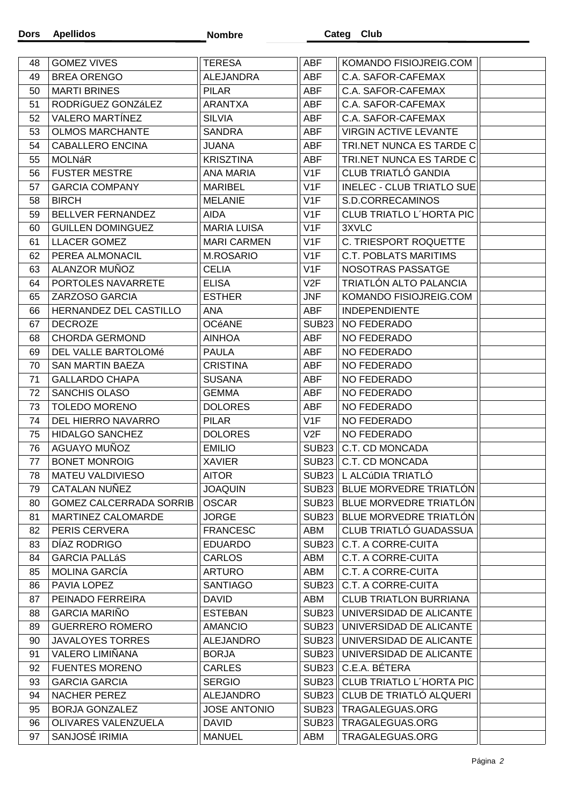| 48 | <b>GOMEZ VIVES</b>             | <b>TERESA</b>       | ABF               | KOMANDO FISIOJREIG.COM           |  |
|----|--------------------------------|---------------------|-------------------|----------------------------------|--|
| 49 | <b>BREA ORENGO</b>             | ALEJANDRA           | <b>ABF</b>        | C.A. SAFOR-CAFEMAX               |  |
| 50 | <b>MARTI BRINES</b>            | <b>PILAR</b>        | ABF               | C.A. SAFOR-CAFEMAX               |  |
| 51 | RODRÍGUEZ GONZÁLEZ             | <b>ARANTXA</b>      | ABF               | C.A. SAFOR-CAFEMAX               |  |
| 52 | <b>VALERO MARTÍNEZ</b>         | <b>SILVIA</b>       | <b>ABF</b>        | C.A. SAFOR-CAFEMAX               |  |
| 53 | <b>OLMOS MARCHANTE</b>         | <b>SANDRA</b>       | <b>ABF</b>        | <b>VIRGIN ACTIVE LEVANTE</b>     |  |
| 54 | <b>CABALLERO ENCINA</b>        | <b>JUANA</b>        | ABF               | TRI.NET NUNCA ES TARDE C         |  |
| 55 | <b>MOLNáR</b>                  | <b>KRISZTINA</b>    | ABF               | TRI.NET NUNCA ES TARDE C         |  |
| 56 | <b>FUSTER MESTRE</b>           | ANA MARIA           | V1F               | <b>CLUB TRIATLÓ GANDIA</b>       |  |
| 57 | <b>GARCIA COMPANY</b>          | <b>MARIBEL</b>      | V1F               | <b>INELEC - CLUB TRIATLO SUE</b> |  |
| 58 | <b>BIRCH</b>                   | <b>MELANIE</b>      | V <sub>1</sub> F  | S.D.CORRECAMINOS                 |  |
| 59 | BELLVER FERNANDEZ              | AIDA                | V1F               | <b>CLUB TRIATLO L'HORTA PIC</b>  |  |
| 60 | <b>GUILLEN DOMINGUEZ</b>       | <b>MARIA LUISA</b>  | V1F               | 3XVLC                            |  |
| 61 | LLACER GOMEZ                   | <b>MARI CARMEN</b>  | V1F               | C. TRIESPORT ROQUETTE            |  |
| 62 | PEREA ALMONACIL                | <b>M.ROSARIO</b>    | V <sub>1F</sub>   | <b>C.T. POBLATS MARITIMS</b>     |  |
| 63 | ALANZOR MUÑOZ                  | <b>CELIA</b>        | V1F               | NOSOTRAS PASSATGE                |  |
| 64 | PORTOLES NAVARRETE             | <b>ELISA</b>        | V2F               | TRIATLÓN ALTO PALANCIA           |  |
| 65 | ZARZOSO GARCIA                 | <b>ESTHER</b>       | JNF               | KOMANDO FISIOJREIG.COM           |  |
| 66 | HERNANDEZ DEL CASTILLO         | <b>ANA</b>          | <b>ABF</b>        | <b>INDEPENDIENTE</b>             |  |
| 67 | <b>DECROZE</b>                 | <b>OCéANE</b>       | <b>SUB23</b>      | NO FEDERADO                      |  |
| 68 | <b>CHORDA GERMOND</b>          | <b>AINHOA</b>       | ABF               | NO FEDERADO                      |  |
| 69 | DEL VALLE BARTOLOMé            | <b>PAULA</b>        | ABF               | NO FEDERADO                      |  |
| 70 | <b>SAN MARTIN BAEZA</b>        | <b>CRISTINA</b>     | ABF               | NO FEDERADO                      |  |
| 71 | <b>GALLARDO CHAPA</b>          | <b>SUSANA</b>       | ABF               | NO FEDERADO                      |  |
| 72 | <b>SANCHIS OLASO</b>           | <b>GEMMA</b>        | <b>ABF</b>        | NO FEDERADO                      |  |
| 73 | <b>TOLEDO MORENO</b>           | <b>DOLORES</b>      | <b>ABF</b>        | NO FEDERADO                      |  |
| 74 | DEL HIERRO NAVARRO             | <b>PILAR</b>        | V1F               | NO FEDERADO                      |  |
| 75 | <b>HIDALGO SANCHEZ</b>         | <b>DOLORES</b>      | V2F               | NO FEDERADO                      |  |
| 76 | AGUAYO MUÑOZ                   | <b>EMILIO</b>       | SUB <sub>23</sub> | C.T. CD MONCADA                  |  |
| 77 | <b>BONET MONROIG</b>           | <b>XAVIER</b>       | <b>SUB23</b>      | C.T. CD MONCADA                  |  |
| 78 | MATEU VALDIVIESO               | <b>AITOR</b>        | <b>SUB23</b>      | L ALCÚDIA TRIATLÓ                |  |
| 79 | CATALAN NUÑEZ                  | <b>JOAQUIN</b>      |                   | SUB23    BLUE MORVEDRE TRIATLON  |  |
| 80 | <b>GOMEZ CALCERRADA SORRIB</b> | <b>OSCAR</b>        | SUB23             | BLUE MORVEDRE TRIATLÓN           |  |
| 81 | MARTINEZ CALOMARDE             | <b>JORGE</b>        | SUB23             | BLUE MORVEDRE TRIATLÓN           |  |
| 82 | PERIS CERVERA                  | <b>FRANCESC</b>     | ABM               | CLUB TRIATLÓ GUADASSUA           |  |
| 83 | DÍAZ RODRIGO                   | <b>EDUARDO</b>      | SUB <sub>23</sub> | C.T. A CORRE-CUITA               |  |
| 84 | <b>GARCIA PALLÁS</b>           | <b>CARLOS</b>       | ABM               | <b>C.T. A CORRE-CUITA</b>        |  |
| 85 | <b>MOLINA GARCÍA</b>           | <b>ARTURO</b>       | ABM               | <b>C.T. A CORRE-CUITA</b>        |  |
| 86 | PAVIA LOPEZ                    | <b>SANTIAGO</b>     | SUB <sub>23</sub> | C.T. A CORRE-CUITA               |  |
| 87 | PEINADO FERREIRA               | <b>DAVID</b>        | ABM               | <b>CLUB TRIATLON BURRIANA</b>    |  |
| 88 | <b>GARCIA MARIÑO</b>           | <b>ESTEBAN</b>      | SUB23             | UNIVERSIDAD DE ALICANTE          |  |
| 89 | <b>GUERRERO ROMERO</b>         | <b>AMANCIO</b>      | <b>SUB23</b>      | UNIVERSIDAD DE ALICANTE          |  |
| 90 | <b>JAVALOYES TORRES</b>        | <b>ALEJANDRO</b>    | SUB23             | UNIVERSIDAD DE ALICANTE          |  |
| 91 | VALERO LIMIÑANA                | <b>BORJA</b>        | SUB23             | UNIVERSIDAD DE ALICANTE          |  |
| 92 | <b>FUENTES MORENO</b>          | <b>CARLES</b>       |                   | SUB23   C.E.A. BÉTERA            |  |
| 93 | <b>GARCIA GARCIA</b>           | <b>SERGIO</b>       | SUB23             | <b>CLUB TRIATLO L'HORTA PIC</b>  |  |
| 94 | <b>NACHER PEREZ</b>            | <b>ALEJANDRO</b>    | SUB23             | CLUB DE TRIATLÓ ALQUERI          |  |
| 95 | BORJA GONZALEZ                 | <b>JOSE ANTONIO</b> | <b>SUB23</b>      | TRAGALEGUAS.ORG                  |  |
| 96 | OLIVARES VALENZUELA            | <b>DAVID</b>        | SUB23             | TRAGALEGUAS.ORG                  |  |
| 97 | SANJOSÉ IRIMIA                 | <b>MANUEL</b>       | ABM               | TRAGALEGUAS.ORG                  |  |
|    |                                |                     |                   |                                  |  |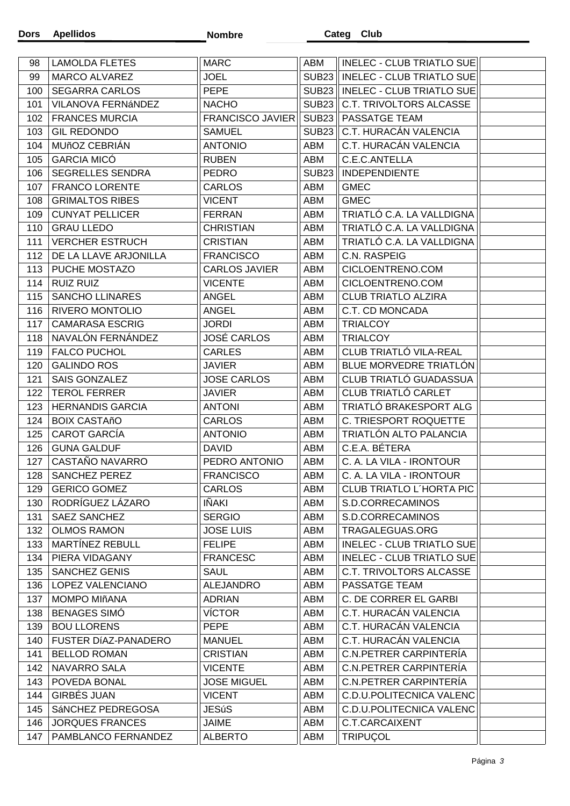| 98         | <b>LAMOLDA FLETES</b>   | <b>MARC</b>             | ABM               | INELEC - CLUB TRIATLO SUE          |  |
|------------|-------------------------|-------------------------|-------------------|------------------------------------|--|
| 99         | MARCO ALVAREZ           | <b>JOEL</b>             |                   | SUB23    INELEC - CLUB TRIATLO SUE |  |
| 100        | <b>SEGARRA CARLOS</b>   | <b>PEPE</b>             | SUB23             | INELEC - CLUB TRIATLO SUE          |  |
| 101        | VILANOVA FERNÁNDEZ      | <b>NACHO</b>            | <b>SUB23</b>      | C.T. TRIVOLTORS ALCASSE            |  |
| 102        | <b>FRANCES MURCIA</b>   | <b>FRANCISCO JAVIER</b> | <b>SUB23</b>      | PASSATGE TEAM                      |  |
| 103        | <b>GIL REDONDO</b>      | <b>SAMUEL</b>           | SUB <sub>23</sub> | C.T. HURACÁN VALENCIA              |  |
| 104        | MUñOZ CEBRIÁN           | <b>ANTONIO</b>          | ABM               | C.T. HURACÁN VALENCIA              |  |
| 105        | <b>GARCIA MICÓ</b>      | <b>RUBEN</b>            | ABM               | C.E.C.ANTELLA                      |  |
| 106        | <b>SEGRELLES SENDRA</b> | <b>PEDRO</b>            | <b>SUB23</b>      | <b>INDEPENDIENTE</b>               |  |
| 107        | <b>FRANCO LORENTE</b>   | <b>CARLOS</b>           | ABM               | <b>GMEC</b>                        |  |
| 108        | <b>GRIMALTOS RIBES</b>  | <b>VICENT</b>           | ABM               | <b>GMEC</b>                        |  |
| 109        | <b>CUNYAT PELLICER</b>  | <b>FERRAN</b>           | ABM               | TRIATLÓ C.A. LA VALLDIGNA          |  |
| 110        | <b>GRAU LLEDO</b>       | <b>CHRISTIAN</b>        | ABM               | TRIATLÓ C.A. LA VALLDIGNA          |  |
| $111$      | <b>VERCHER ESTRUCH</b>  | <b>CRISTIAN</b>         | ABM               | TRIATLÓ C.A. LA VALLDIGNA          |  |
| 112        | DE LA LLAVE ARJONILLA   | <b>FRANCISCO</b>        | ABM               | C.N. RASPEIG                       |  |
| 113        | PUCHE MOSTAZO           | <b>CARLOS JAVIER</b>    | ABM               | CICLOENTRENO.COM                   |  |
| 114        | <b>RUIZ RUIZ</b>        | <b>VICENTE</b>          | ABM               | CICLOENTRENO.COM                   |  |
| 115        | <b>SANCHO LLINARES</b>  | <b>ANGEL</b>            | ABM               | <b>CLUB TRIATLO ALZIRA</b>         |  |
| 116        | <b>RIVERO MONTOLIO</b>  | <b>ANGEL</b>            | ABM               | C.T. CD MONCADA                    |  |
| 117        | <b>CAMARASA ESCRIG</b>  | <b>JORDI</b>            | ABM               | <b>TRIALCOY</b>                    |  |
| 118        | NAVALÓN FERNÁNDEZ       | <b>JOSÉ CARLOS</b>      | ABM               | <b>TRIALCOY</b>                    |  |
| 119        | <b>FALCO PUCHOL</b>     | <b>CARLES</b>           | ABM               | CLUB TRIATLÓ VILA-REAL             |  |
| 120        | <b>GALINDO ROS</b>      | <b>JAVIER</b>           | ABM               | BLUE MORVEDRE TRIATLÓN             |  |
| 121        | SAIS GONZALEZ           | <b>JOSE CARLOS</b>      | ABM               | CLUB TRIATLÓ GUADASSUA             |  |
| 122        | <b>TEROL FERRER</b>     | <b>JAVIER</b>           | ABM               | CLUB TRIATLÓ CARLET                |  |
| 123        | <b>HERNANDIS GARCIA</b> | <b>ANTONI</b>           | ABM               | TRIATLÓ BRAKESPORT ALG             |  |
| 124        | <b>BOIX CASTAñO</b>     | <b>CARLOS</b>           | ABM               | C. TRIESPORT ROQUETTE              |  |
| 125        | CAROT GARCÍA            | <b>ANTONIO</b>          | ABM               | TRIATLÓN ALTO PALANCIA             |  |
| 126        | <b>GUNA GALDUF</b>      | <b>DAVID</b>            | ABM               | C.E.A. BÉTERA                      |  |
| 127        | CASTAÑO NAVARRO         | PEDRO ANTONIO           | ABM               | C. A. LA VILA - IRONTOUR           |  |
| 128        | <b>SANCHEZ PEREZ</b>    | <b>FRANCISCO</b>        | ABM               | C. A. LA VILA - IRONTOUR           |  |
| 129        | <b>GERICO GOMEZ</b>     | CARLOS                  | ABM               | CLUB TRIATLO L'HORTA PIC           |  |
| 130        | RODRÍGUEZ LÁZARO        | IÑAKI                   | ABM               | S.D.CORRECAMINOS                   |  |
| 131        | <b>SAEZ SANCHEZ</b>     | <b>SERGIO</b>           | ABM               | S.D.CORRECAMINOS                   |  |
| 132        | <b>OLMOS RAMON</b>      | <b>JOSE LUIS</b>        | ABM               | TRAGALEGUAS.ORG                    |  |
| 133        | <b>MARTINEZ REBULL</b>  | <b>FELIPE</b>           | ABM               | <b>INELEC - CLUB TRIATLO SUE</b>   |  |
|            | PIERA VIDAGANY          | <b>FRANCESC</b>         |                   | INELEC - CLUB TRIATLO SUE          |  |
| 134<br>135 | <b>SANCHEZ GENIS</b>    | <b>SAUL</b>             | ABM<br>ABM        | <b>C.T. TRIVOLTORS ALCASSE</b>     |  |
|            |                         |                         |                   | PASSATGE TEAM                      |  |
| 136        | LOPEZ VALENCIANO        | <b>ALEJANDRO</b>        | ABM               |                                    |  |
| 137        | <b>MOMPO MIñANA</b>     | <b>ADRIAN</b>           | ABM               | C. DE CORRER EL GARBI              |  |
| 138        | <b>BENAGES SIMÓ</b>     | <b>VÍCTOR</b>           | ABM               | C.T. HURACÁN VALENCIA              |  |
| 139        | <b>BOU LLORENS</b>      | <b>PEPE</b>             | ABM               | C.T. HURACÁN VALENCIA              |  |
| 140        | FUSTER DÍAZ-PANADERO    | <b>MANUEL</b>           | ABM               | C.T. HURACÁN VALENCIA              |  |
| 141        | <b>BELLOD ROMAN</b>     | <b>CRISTIAN</b>         | ABM               | C.N.PETRER CARPINTERÍA             |  |
| 142        | NAVARRO SALA            | <b>VICENTE</b>          | ABM               | C.N.PETRER CARPINTERÍA             |  |
| 143        | POVEDA BONAL            | <b>JOSE MIGUEL</b>      | ABM               | C.N.PETRER CARPINTERÍA             |  |
| 144        | GIRBÉS JUAN             | <b>VICENT</b>           | ABM               | <b>C.D.U.POLITECNICA VALENC</b>    |  |
| 145        | SÁNCHEZ PEDREGOSA       | <b>JESúS</b>            | ABM               | C.D.U.POLITECNICA VALENC           |  |
| 146        | <b>JORQUES FRANCES</b>  | JAIME                   | ABM               | C.T.CARCAIXENT                     |  |
| 147        | PAMBLANCO FERNANDEZ     | <b>ALBERTO</b>          | ABM               | <b>TRIPUÇOL</b>                    |  |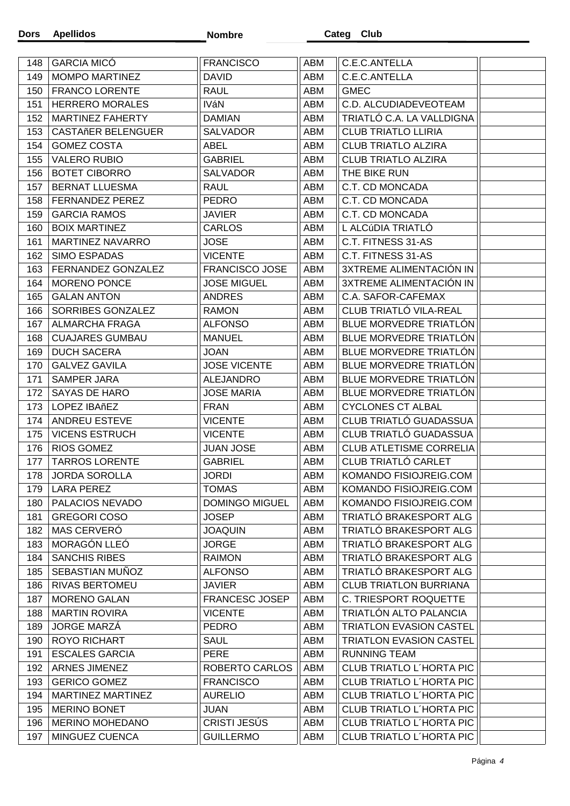| 148        | <b>GARCIA MICÓ</b>                            | <b>FRANCISCO</b>                        | ABM               | C.E.C.ANTELLA                                    |  |
|------------|-----------------------------------------------|-----------------------------------------|-------------------|--------------------------------------------------|--|
| 149        | MOMPO MARTINEZ                                | <b>DAVID</b>                            | <b>ABM</b>        | C.E.C.ANTELLA                                    |  |
| 150        | <b>FRANCO LORENTE</b>                         | <b>RAUL</b>                             | ABM               | <b>GMEC</b>                                      |  |
| 151        | <b>HERRERO MORALES</b>                        | <b>IVáN</b>                             | ABM               | C.D. ALCUDIADEVEOTEAM                            |  |
| 152        | <b>MARTINEZ FAHERTY</b>                       | <b>DAMIAN</b>                           | <b>ABM</b>        | TRIATLÓ C.A. LA VALLDIGNA                        |  |
| 153        | <b>CASTAñER BELENGUER</b>                     | <b>SALVADOR</b>                         | <b>ABM</b>        | <b>CLUB TRIATLO LLIRIA</b>                       |  |
| 154        | <b>GOMEZ COSTA</b>                            | <b>ABEL</b>                             | ABM               | <b>CLUB TRIATLO ALZIRA</b>                       |  |
| 155        | <b>VALERO RUBIO</b>                           | <b>GABRIEL</b>                          | ABM               | <b>CLUB TRIATLO ALZIRA</b>                       |  |
| 156        | <b>BOTET CIBORRO</b>                          | <b>SALVADOR</b>                         | ABM               | THE BIKE RUN                                     |  |
| 157        | <b>BERNAT LLUESMA</b>                         | <b>RAUL</b>                             | ABM               | C.T. CD MONCADA                                  |  |
| 158        | <b>FERNANDEZ PEREZ</b>                        | <b>PEDRO</b>                            | ABM               | C.T. CD MONCADA                                  |  |
| 159        | <b>GARCIA RAMOS</b>                           | <b>JAVIER</b>                           | ABM               | C.T. CD MONCADA                                  |  |
| 160        | <b>BOIX MARTINEZ</b>                          | <b>CARLOS</b>                           | ABM               | L ALCÚDIA TRIATLÓ                                |  |
| 161        | <b>MARTINEZ NAVARRO</b>                       | <b>JOSE</b>                             | ABM               | C.T. FITNESS 31-AS                               |  |
| 162        | <b>SIMO ESPADAS</b>                           | <b>VICENTE</b>                          | <b>ABM</b>        | C.T. FITNESS 31-AS                               |  |
| 163        | FERNANDEZ GONZALEZ                            | <b>FRANCISCO JOSE</b>                   | ABM               | 3XTREME ALIMENTACIÓN IN                          |  |
| 164        | <b>MORENO PONCE</b>                           | <b>JOSE MIGUEL</b>                      | ABM               | <b>3XTREME ALIMENTACIÓN IN</b>                   |  |
| 165        | <b>GALAN ANTON</b>                            | <b>ANDRES</b>                           | ABM               | C.A. SAFOR-CAFEMAX                               |  |
| 166        | SORRIBES GONZALEZ                             | <b>RAMON</b>                            | <b>ABM</b>        | CLUB TRIATLÓ VILA-REAL                           |  |
| 167        | <b>ALMARCHA FRAGA</b>                         | <b>ALFONSO</b>                          | <b>ABM</b>        | BLUE MORVEDRE TRIATLÓN                           |  |
| 168        | <b>CUAJARES GUMBAU</b>                        | <b>MANUEL</b>                           | <b>ABM</b>        | <b>BLUE MORVEDRE TRIATLÓN</b>                    |  |
| 169        | <b>DUCH SACERA</b>                            | <b>JOAN</b>                             | ABM               | <b>BLUE MORVEDRE TRIATLÓN</b>                    |  |
| 170        | <b>GALVEZ GAVILA</b>                          | <b>JOSE VICENTE</b>                     | ABM               | BLUE MORVEDRE TRIATLÓN                           |  |
| 171        | SAMPER JARA                                   | <b>ALEJANDRO</b>                        | <b>ABM</b>        | <b>BLUE MORVEDRE TRIATLÓN</b>                    |  |
| 172        | SAYAS DE HARO                                 | <b>JOSE MARIA</b>                       | ABM               | BLUE MORVEDRE TRIATLÓN                           |  |
|            |                                               |                                         |                   |                                                  |  |
| 173        | <b>LOPEZ IBAñEZ</b>                           |                                         |                   |                                                  |  |
|            |                                               | <b>FRAN</b>                             | <b>ABM</b>        | <b>CYCLONES CT ALBAL</b>                         |  |
| 174<br>175 | ANDREU ESTEVE<br><b>VICENS ESTRUCH</b>        | <b>VICENTE</b><br><b>VICENTE</b>        | <b>ABM</b><br>ABM | CLUB TRIATLÓ GUADASSUA<br>CLUB TRIATLÓ GUADASSUA |  |
| 176        | <b>RIOS GOMEZ</b>                             | <b>JUAN JOSE</b>                        | <b>ABM</b>        | <b>CLUB ATLETISME CORRELIA</b>                   |  |
| 177        |                                               | <b>GABRIEL</b>                          |                   | CLUB TRIATLÓ CARLET                              |  |
| 178        | <b>TARROS LORENTE</b><br><b>JORDA SOROLLA</b> | <b>JORDI</b>                            | ABM<br>ABM        | KOMANDO FISIOJREIG.COM                           |  |
| 179        |                                               |                                         |                   |                                                  |  |
|            | <b>LARA PEREZ</b><br>PALACIOS NEVADO          | <b>TOMAS</b>                            | ABM               | <b>KOMANDO FISIOJREIG.COM</b>                    |  |
| 180        |                                               | <b>DOMINGO MIGUEL</b>                   | ABM               | KOMANDO FISIOJREIG.COM<br>TRIATLÓ BRAKESPORT ALG |  |
| 181<br>182 | <b>GREGORI COSO</b><br>MAS CERVERÓ            | <b>JOSEP</b><br><b>JOAQUIN</b>          | ABM<br>ABM        | TRIATLÓ BRAKESPORT ALG                           |  |
| 183        | MORAGÓN LLEÓ                                  | <b>JORGE</b>                            | ABM               | TRIATLÓ BRAKESPORT ALG                           |  |
| 184        | <b>SANCHIS RIBES</b>                          | <b>RAIMON</b>                           | ABM               | TRIATLÓ BRAKESPORT ALG                           |  |
| 185        | SEBASTIAN MUÑOZ                               | <b>ALFONSO</b>                          | ABM               | TRIATLÓ BRAKESPORT ALG                           |  |
| 186        | <b>RIVAS BERTOMEU</b>                         | JAVIER                                  | ABM               | <b>CLUB TRIATLON BURRIANA</b>                    |  |
|            | <b>MORENO GALAN</b>                           |                                         |                   | C. TRIESPORT ROQUETTE                            |  |
| 187<br>188 | <b>MARTIN ROVIRA</b>                          | <b>FRANCESC JOSEP</b><br><b>VICENTE</b> | ABM               | TRIATLÓN ALTO PALANCIA                           |  |
| 189        | <b>JORGE MARZÁ</b>                            | <b>PEDRO</b>                            | ABM<br>ABM        | <b>TRIATLON EVASION CASTEL</b>                   |  |
| 190        | <b>ROYO RICHART</b>                           | <b>SAUL</b>                             | <b>ABM</b>        | <b>TRIATLON EVASION CASTEL</b>                   |  |
| 191        | <b>ESCALES GARCIA</b>                         | <b>PERE</b>                             | ABM               | <b>RUNNING TEAM</b>                              |  |
| 192        | ARNES JIMENEZ                                 | ROBERTO CARLOS                          | ABM               | CLUB TRIATLO L'HORTA PIC                         |  |
| 193        | <b>GERICO GOMEZ</b>                           | <b>FRANCISCO</b>                        | ABM               | <b>CLUB TRIATLO L'HORTA PIC</b>                  |  |
| 194        | MARTINEZ MARTINEZ                             | <b>AURELIO</b>                          | ABM               | <b>CLUB TRIATLO L'HORTA PIC</b>                  |  |
| 195        | <b>MERINO BONET</b>                           | <b>JUAN</b>                             | ABM               | <b>CLUB TRIATLO L'HORTA PIC</b>                  |  |
| 196        | <b>MERINO MOHEDANO</b>                        | CRISTI JESÚS                            | ABM               | CLUB TRIATLO L'HORTA PIC                         |  |
| 197        | MINGUEZ CUENCA                                | <b>GUILLERMO</b>                        | ABM               | CLUB TRIATLO L'HORTA PIC                         |  |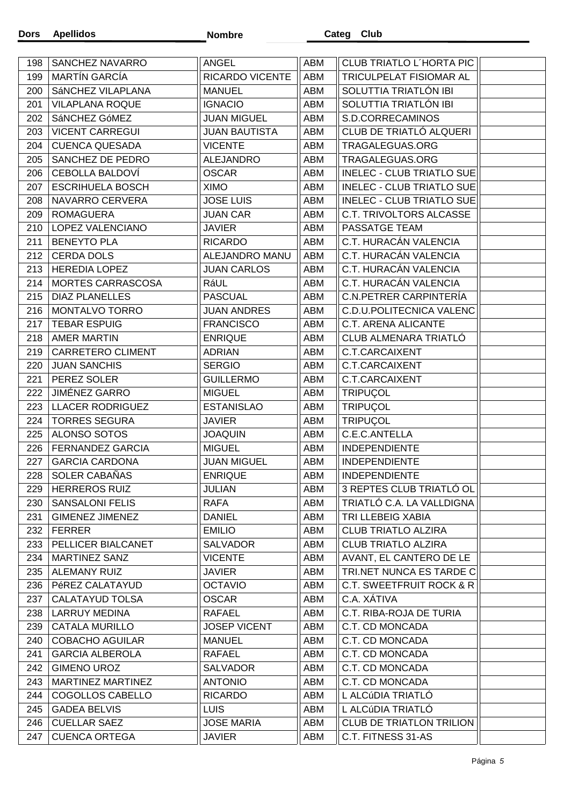| 198 | SANCHEZ NAVARRO         | ANGEL                  | ABM | <b>CLUB TRIATLO L'HORTA PIC</b>     |  |
|-----|-------------------------|------------------------|-----|-------------------------------------|--|
| 199 | <b>MARTÍN GARCÍA</b>    | <b>RICARDO VICENTE</b> | ABM | TRICULPELAT FISIOMAR AL             |  |
| 200 | SÁNCHEZ VILAPLANA       | <b>MANUEL</b>          | ABM | SOLUTTIA TRIATLÓN IBI               |  |
| 201 | <b>VILAPLANA ROQUE</b>  | <b>IGNACIO</b>         | ABM | SOLUTTIA TRIATLÓN IBI               |  |
| 202 | SáNCHEZ GóMEZ           | <b>JUAN MIGUEL</b>     | ABM | S.D.CORRECAMINOS                    |  |
| 203 | <b>VICENT CARREGUI</b>  | <b>JUAN BAUTISTA</b>   | ABM | CLUB DE TRIATLÓ ALQUERI             |  |
| 204 | <b>CUENCA QUESADA</b>   | <b>VICENTE</b>         | ABM | TRAGALEGUAS.ORG                     |  |
| 205 | SANCHEZ DE PEDRO        | <b>ALEJANDRO</b>       | ABM | TRAGALEGUAS.ORG                     |  |
| 206 | <b>CEBOLLA BALDOVÍ</b>  | <b>OSCAR</b>           | ABM | <b>INELEC - CLUB TRIATLO SUE</b>    |  |
| 207 | <b>ESCRIHUELA BOSCH</b> | <b>XIMO</b>            | ABM | INELEC - CLUB TRIATLO SUE           |  |
| 208 | NAVARRO CERVERA         | <b>JOSE LUIS</b>       | ABM | INELEC - CLUB TRIATLO SUE           |  |
| 209 | <b>ROMAGUERA</b>        | <b>JUAN CAR</b>        | ABM | C.T. TRIVOLTORS ALCASSE             |  |
| 210 | LOPEZ VALENCIANO        | <b>JAVIER</b>          | ABM | PASSATGE TEAM                       |  |
| 211 | <b>BENEYTO PLA</b>      | <b>RICARDO</b>         | ABM | C.T. HURACÁN VALENCIA               |  |
| 212 | <b>CERDA DOLS</b>       | ALEJANDRO MANU         | ABM | C.T. HURACÁN VALENCIA               |  |
| 213 | <b>HEREDIA LOPEZ</b>    | <b>JUAN CARLOS</b>     | ABM | C.T. HURACÁN VALENCIA               |  |
| 214 | MORTES CARRASCOSA       | RáUL                   | ABM | C.T. HURACÁN VALENCIA               |  |
| 215 | <b>DIAZ PLANELLES</b>   | <b>PASCUAL</b>         | ABM | C.N.PETRER CARPINTERÍA              |  |
| 216 | MONTALVO TORRO          | <b>JUAN ANDRES</b>     | ABM | C.D.U.POLITECNICA VALENC            |  |
| 217 | <b>TEBAR ESPUIG</b>     | <b>FRANCISCO</b>       | ABM | C.T. ARENA ALICANTE                 |  |
| 218 | <b>AMER MARTIN</b>      | <b>ENRIQUE</b>         | ABM | CLUB ALMENARA TRIATLÓ               |  |
| 219 | CARRETERO CLIMENT       | <b>ADRIAN</b>          | ABM | C.T.CARCAIXENT                      |  |
| 220 | <b>JUAN SANCHIS</b>     | <b>SERGIO</b>          | ABM | C.T.CARCAIXENT                      |  |
| 221 | PEREZ SOLER             | <b>GUILLERMO</b>       | ABM | C.T.CARCAIXENT                      |  |
| 222 | <b>JIMÉNEZ GARRO</b>    | <b>MIGUEL</b>          | ABM | TRIPUÇOL                            |  |
| 223 | <b>LLACER RODRIGUEZ</b> | <b>ESTANISLAO</b>      | ABM | TRIPUÇOL                            |  |
| 224 | <b>TORRES SEGURA</b>    | <b>JAVIER</b>          | ABM | <b>TRIPUÇOL</b>                     |  |
| 225 | ALONSO SOTOS            | <b>JOAQUIN</b>         | ABM | C.E.C.ANTELLA                       |  |
| 226 | <b>FERNANDEZ GARCIA</b> | <b>MIGUEL</b>          | ABM | <b>INDEPENDIENTE</b>                |  |
| 227 | <b>GARCIA CARDONA</b>   | <b>JUAN MIGUEL</b>     | ABM | <b>INDEPENDIENTE</b>                |  |
| 228 | SOLER CABAÑAS           | <b>ENRIQUE</b>         | ABM | <b>INDEPENDIENTE</b>                |  |
| 229 | <b>HERREROS RUIZ</b>    | JULIAN                 | ABM | 3 REPTES CLUB TRIATLÓ OL            |  |
| 230 | <b>SANSALONI FELIS</b>  | RAFA                   | ABM | TRIATLÓ C.A. LA VALLDIGNA           |  |
| 231 | <b>GIMENEZ JIMENEZ</b>  | <b>DANIEL</b>          | ABM | TRI LLEBEIG XABIA                   |  |
| 232 | <b>FERRER</b>           | <b>EMILIO</b>          | ABM | <b>CLUB TRIATLO ALZIRA</b>          |  |
| 233 | PELLICER BIALCANET      | <b>SALVADOR</b>        | ABM | <b>CLUB TRIATLO ALZIRA</b>          |  |
| 234 | <b>MARTINEZ SANZ</b>    | <b>VICENTE</b>         | ABM | AVANT, EL CANTERO DE LE             |  |
| 235 | <b>ALEMANY RUIZ</b>     | <b>JAVIER</b>          | ABM | TRI.NET NUNCA ES TARDE C            |  |
| 236 | PéREZ CALATAYUD         | <b>OCTAVIO</b>         | ABM | <b>C.T. SWEETFRUIT ROCK &amp; R</b> |  |
| 237 | <b>CALATAYUD TOLSA</b>  | <b>OSCAR</b>           | ABM | C.A. XÁTIVA                         |  |
| 238 | <b>LARRUY MEDINA</b>    | <b>RAFAEL</b>          | ABM | C.T. RIBA-ROJA DE TURIA             |  |
| 239 | <b>CATALA MURILLO</b>   | <b>JOSEP VICENT</b>    | ABM | C.T. CD MONCADA                     |  |
| 240 | <b>COBACHO AGUILAR</b>  | <b>MANUEL</b>          | ABM | C.T. CD MONCADA                     |  |
| 241 | <b>GARCIA ALBEROLA</b>  | <b>RAFAEL</b>          | ABM | C.T. CD MONCADA                     |  |
| 242 | <b>GIMENO UROZ</b>      | <b>SALVADOR</b>        | ABM | C.T. CD MONCADA                     |  |
| 243 | MARTINEZ MARTINEZ       | <b>ANTONIO</b>         | ABM | C.T. CD MONCADA                     |  |
|     |                         |                        |     |                                     |  |
| 244 | COGOLLOS CABELLO        | <b>RICARDO</b>         | ABM | L ALCÚDIA TRIATLÓ                   |  |
| 245 | <b>GADEA BELVIS</b>     | <b>LUIS</b>            | ABM | L ALCÚDIA TRIATLÓ                   |  |
| 246 | <b>CUELLAR SAEZ</b>     | <b>JOSE MARIA</b>      | ABM | <b>CLUB DE TRIATLON TRILION</b>     |  |
| 247 | <b>CUENCA ORTEGA</b>    | <b>JAVIER</b>          | ABM | C.T. FITNESS 31-AS                  |  |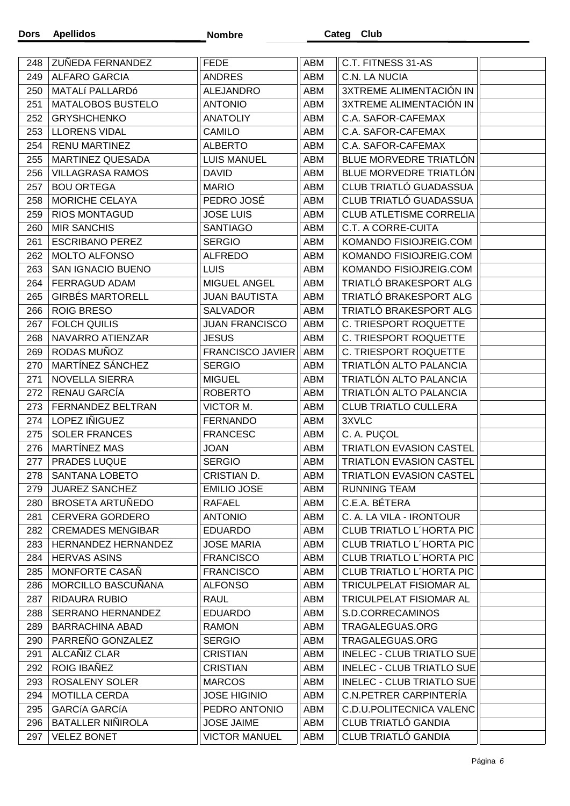| 248 | ZUÑEDA FERNANDEZ           | <b>FEDE</b>             | ABM        | C.T. FITNESS 31-AS               |  |
|-----|----------------------------|-------------------------|------------|----------------------------------|--|
| 249 | <b>ALFARO GARCIA</b>       | <b>ANDRES</b>           | ABM        | C.N. LA NUCIA                    |  |
| 250 | MATALÍ PALLARDÓ            | <b>ALEJANDRO</b>        | ABM        | 3XTREME ALIMENTACIÓN IN          |  |
| 251 | MATALOBOS BUSTELO          | <b>ANTONIO</b>          | ABM        | 3XTREME ALIMENTACIÓN IN          |  |
| 252 | <b>GRYSHCHENKO</b>         | <b>ANATOLIY</b>         | ABM        | C.A. SAFOR-CAFEMAX               |  |
| 253 | <b>LLORENS VIDAL</b>       | <b>CAMILO</b>           | ABM        | C.A. SAFOR-CAFEMAX               |  |
| 254 | <b>RENU MARTINEZ</b>       | <b>ALBERTO</b>          | ABM        | C.A. SAFOR-CAFEMAX               |  |
| 255 | MARTINEZ QUESADA           | <b>LUIS MANUEL</b>      | ABM        | BLUE MORVEDRE TRIATLÓN           |  |
| 256 | <b>VILLAGRASA RAMOS</b>    | <b>DAVID</b>            | ABM        | BLUE MORVEDRE TRIATLÓN           |  |
| 257 | <b>BOU ORTEGA</b>          | <b>MARIO</b>            | ABM        | CLUB TRIATLÓ GUADASSUA           |  |
| 258 | MORICHE CELAYA             | PEDRO JOSÉ              | ABM        | CLUB TRIATLÓ GUADASSUA           |  |
| 259 | <b>RIOS MONTAGUD</b>       | <b>JOSE LUIS</b>        | ABM        | <b>CLUB ATLETISME CORRELIA</b>   |  |
| 260 | <b>MIR SANCHIS</b>         | <b>SANTIAGO</b>         | ABM        | <b>C.T. A CORRE-CUITA</b>        |  |
| 261 | <b>ESCRIBANO PEREZ</b>     | <b>SERGIO</b>           | ABM        | KOMANDO FISIOJREIG.COM           |  |
| 262 | <b>MOLTO ALFONSO</b>       | <b>ALFREDO</b>          | ABM        | KOMANDO FISIOJREIG.COM           |  |
| 263 | SAN IGNACIO BUENO          | <b>LUIS</b>             | <b>ABM</b> | KOMANDO FISIOJREIG.COM           |  |
| 264 | FERRAGUD ADAM              | MIGUEL ANGEL            | ABM        | TRIATLÓ BRAKESPORT ALG           |  |
| 265 | <b>GIRBÉS MARTORELL</b>    | <b>JUAN BAUTISTA</b>    | ABM        | TRIATLÓ BRAKESPORT ALG           |  |
| 266 | <b>ROIG BRESO</b>          | <b>SALVADOR</b>         | ABM        | TRIATLÓ BRAKESPORT ALG           |  |
| 267 | <b>FOLCH QUILIS</b>        | <b>JUAN FRANCISCO</b>   | ABM        | C. TRIESPORT ROQUETTE            |  |
| 268 | NAVARRO ATIENZAR           | <b>JESUS</b>            | ABM        | C. TRIESPORT ROQUETTE            |  |
| 269 | RODAS MUÑOZ                | <b>FRANCISCO JAVIER</b> | ABM        | C. TRIESPORT ROQUETTE            |  |
| 270 | MARTÍNEZ SÁNCHEZ           | <b>SERGIO</b>           | ABM        | TRIATLÓN ALTO PALANCIA           |  |
| 271 | <b>NOVELLA SIERRA</b>      | <b>MIGUEL</b>           | ABM        | TRIATLÓN ALTO PALANCIA           |  |
| 272 | RENAU GARCÍA               | <b>ROBERTO</b>          | ABM        | TRIATLÓN ALTO PALANCIA           |  |
| 273 | FERNANDEZ BELTRAN          | VICTOR M.               | ABM        | <b>CLUB TRIATLO CULLERA</b>      |  |
| 274 | LOPEZ IÑIGUEZ              | <b>FERNANDO</b>         | ABM        | 3XVLC                            |  |
| 275 | <b>SOLER FRANCES</b>       | <b>FRANCESC</b>         | ABM        | C. A. PUÇOL                      |  |
| 276 | MARTÍNEZ MAS               | <b>JOAN</b>             | ABM        | TRIATLON EVASION CASTEL          |  |
| 277 | PRADES LUQUE               | <b>SERGIO</b>           | ABM        | <b>TRIATLON EVASION CASTEL</b>   |  |
| 278 | <b>SANTANA LOBETO</b>      | CRISTIAN D.             | ABM        | <b>TRIATLON EVASION CASTEL</b>   |  |
| 279 | <b>JUAREZ SANCHEZ</b>      | <b>EMILIO JOSE</b>      | ABM        | <b>RUNNING TEAM</b>              |  |
| 280 | <b>BROSETA ARTUÑEDO</b>    | <b>RAFAEL</b>           | ABM        | C.E.A. BÉTERA                    |  |
| 281 | <b>CERVERA GORDERO</b>     | <b>ANTONIO</b>          | ABM        | C. A. LA VILA - IRONTOUR         |  |
| 282 | <b>CREMADES MENGIBAR</b>   | <b>EDUARDO</b>          | ABM        | CLUB TRIATLO L'HORTA PIC         |  |
| 283 | <b>HERNANDEZ HERNANDEZ</b> | <b>JOSE MARIA</b>       | ABM        | <b>CLUB TRIATLO L'HORTA PIC</b>  |  |
| 284 | <b>HERVAS ASINS</b>        | <b>FRANCISCO</b>        | ABM        | <b>CLUB TRIATLO L'HORTA PIC</b>  |  |
| 285 | MONFORTE CASAÑ             | <b>FRANCISCO</b>        | ABM        | <b>CLUB TRIATLO L'HORTA PIC</b>  |  |
| 286 | MORCILLO BASCUÑANA         | <b>ALFONSO</b>          | ABM        | TRICULPELAT FISIOMAR AL          |  |
| 287 | <b>RIDAURA RUBIO</b>       | <b>RAUL</b>             | ABM        | <b>TRICULPELAT FISIOMAR AL</b>   |  |
| 288 | SERRANO HERNANDEZ          | <b>EDUARDO</b>          | ABM        | S.D.CORRECAMINOS                 |  |
| 289 | <b>BARRACHINA ABAD</b>     | <b>RAMON</b>            | ABM        | TRAGALEGUAS.ORG                  |  |
| 290 | PARREÑO GONZALEZ           | <b>SERGIO</b>           | ABM        | TRAGALEGUAS.ORG                  |  |
| 291 | ALCAÑIZ CLAR               | <b>CRISTIAN</b>         | ABM        | <b>INELEC - CLUB TRIATLO SUE</b> |  |
| 292 | ROIG IBAÑEZ                | <b>CRISTIAN</b>         | ABM        | INELEC - CLUB TRIATLO SUE        |  |
| 293 | <b>ROSALENY SOLER</b>      | <b>MARCOS</b>           | ABM        | <b>INELEC - CLUB TRIATLO SUE</b> |  |
| 294 | <b>MOTILLA CERDA</b>       | <b>JOSE HIGINIO</b>     | ABM        | C.N.PETRER CARPINTERÍA           |  |
| 295 | <b>GARCÍA GARCÍA</b>       | PEDRO ANTONIO           | ABM        | <b>C.D.U.POLITECNICA VALENC</b>  |  |
| 296 | <b>BATALLER NINIROLA</b>   | <b>JOSE JAIME</b>       | ABM        | <b>CLUB TRIATLÓ GANDIA</b>       |  |
| 297 | <b>VELEZ BONET</b>         | <b>VICTOR MANUEL</b>    | ABM        | CLUB TRIATLÓ GANDIA              |  |
|     |                            |                         |            |                                  |  |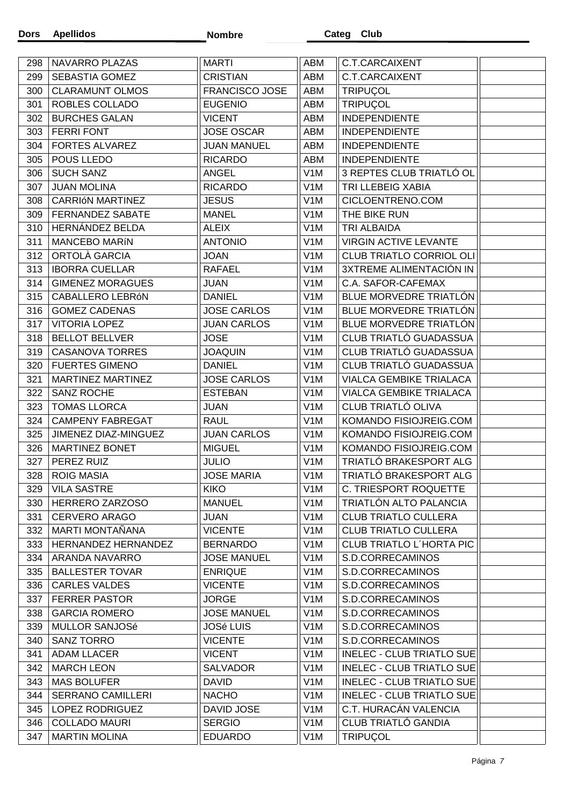| 298 | NAVARRO PLAZAS           | <b>MARTI</b>          | ABM              | C.T.CARCAIXENT                   |  |
|-----|--------------------------|-----------------------|------------------|----------------------------------|--|
| 299 | SEBASTIA GOMEZ           | CRISTIAN              | ABM              | <b>C.T.CARCAIXENT</b>            |  |
| 300 | <b>CLARAMUNT OLMOS</b>   | <b>FRANCISCO JOSE</b> | <b>ABM</b>       | <b>TRIPUÇOL</b>                  |  |
| 301 | ROBLES COLLADO           | <b>EUGENIO</b>        | ABM              | TRIPUÇOL                         |  |
| 302 | <b>BURCHES GALAN</b>     | <b>VICENT</b>         | ABM              | <b>INDEPENDIENTE</b>             |  |
| 303 | <b>FERRI FONT</b>        | <b>JOSE OSCAR</b>     | ABM              | <b>INDEPENDIENTE</b>             |  |
| 304 | <b>FORTES ALVAREZ</b>    | <b>JUAN MANUEL</b>    | ABM              | <b>INDEPENDIENTE</b>             |  |
| 305 | POUS LLEDO               | <b>RICARDO</b>        | <b>ABM</b>       | <b>INDEPENDIENTE</b>             |  |
| 306 | <b>SUCH SANZ</b>         | <b>ANGEL</b>          | V <sub>1</sub> M | 3 REPTES CLUB TRIATLÓ OL         |  |
| 307 | <b>JUAN MOLINA</b>       | <b>RICARDO</b>        | V <sub>1</sub> M | TRI LLEBEIG XABIA                |  |
| 308 | <b>CARRIÓN MARTINEZ</b>  | <b>JESUS</b>          | V <sub>1</sub> M | CICLOENTRENO.COM                 |  |
| 309 | <b>FERNANDEZ SABATE</b>  | <b>MANEL</b>          | V <sub>1</sub> M | THE BIKE RUN                     |  |
| 310 | HERNÁNDEZ BELDA          | <b>ALEIX</b>          | V <sub>1</sub> M | TRI ALBAIDA                      |  |
| 311 | <b>MANCEBO MARÍN</b>     | <b>ANTONIO</b>        | V <sub>1</sub> M | <b>VIRGIN ACTIVE LEVANTE</b>     |  |
| 312 | ORTOLÀ GARCIA            | <b>JOAN</b>           | V <sub>1</sub> M | <b>CLUB TRIATLO CORRIOL OLI</b>  |  |
| 313 | <b>IBORRA CUELLAR</b>    | <b>RAFAEL</b>         | V <sub>1</sub> M | 3XTREME ALIMENTACIÓN IN          |  |
| 314 | <b>GIMENEZ MORAGUES</b>  | <b>JUAN</b>           | V <sub>1</sub> M | C.A. SAFOR-CAFEMAX               |  |
| 315 | CABALLERO LEBRÓN         | <b>DANIEL</b>         | V <sub>1</sub> M | BLUE MORVEDRE TRIATLÓN           |  |
| 316 | <b>GOMEZ CADENAS</b>     | <b>JOSE CARLOS</b>    | V <sub>1</sub> M | BLUE MORVEDRE TRIATLÓN           |  |
| 317 | <b>VITORIA LOPEZ</b>     | <b>JUAN CARLOS</b>    | V <sub>1</sub> M | BLUE MORVEDRE TRIATLÓN           |  |
| 318 | <b>BELLOT BELLVER</b>    | <b>JOSE</b>           | V <sub>1</sub> M | CLUB TRIATLÓ GUADASSUA           |  |
| 319 | <b>CASANOVA TORRES</b>   | <b>JOAQUIN</b>        | V <sub>1</sub> M | CLUB TRIATLÓ GUADASSUA           |  |
| 320 | <b>FUERTES GIMENO</b>    | <b>DANIEL</b>         | V <sub>1</sub> M | CLUB TRIATLÓ GUADASSUA           |  |
| 321 | MARTINEZ MARTINEZ        | <b>JOSE CARLOS</b>    | V <sub>1</sub> M | <b>VIALCA GEMBIKE TRIALACA</b>   |  |
| 322 | SANZ ROCHE               | <b>ESTEBAN</b>        | V <sub>1</sub> M | <b>VIALCA GEMBIKE TRIALACA</b>   |  |
| 323 | <b>TOMAS LLORCA</b>      | <b>JUAN</b>           | V <sub>1</sub> M | CLUB TRIATLÓ OLIVA               |  |
| 324 | <b>CAMPENY FABREGAT</b>  | <b>RAUL</b>           | V <sub>1</sub> M | KOMANDO FISIOJREIG.COM           |  |
| 325 | JIMENEZ DIAZ-MINGUEZ     | <b>JUAN CARLOS</b>    | V <sub>1</sub> M | KOMANDO FISIOJREIG.COM           |  |
| 326 | <b>MARTINEZ BONET</b>    | <b>MIGUEL</b>         | V <sub>1</sub> M | KOMANDO FISIOJREIG.COM           |  |
| 327 | PEREZ RUIZ               | <b>JULIO</b>          | V <sub>1</sub> M | TRIATLÓ BRAKESPORT ALG           |  |
| 328 | <b>ROIG MASIA</b>        | <b>JOSE MARIA</b>     | V <sub>1</sub> M | TRIATLÓ BRAKESPORT ALG           |  |
| 329 | <b>VILA SASTRE</b>       | <b>KIKO</b>           | V <sub>1</sub> M | C. TRIESPORT ROQUETTE            |  |
| 330 | HERRERO ZARZOSO          | <b>MANUEL</b>         | V <sub>1</sub> M | TRIATLÓN ALTO PALANCIA           |  |
| 331 | <b>CERVERO ARAGO</b>     | <b>JUAN</b>           | V <sub>1</sub> M | <b>CLUB TRIATLO CULLERA</b>      |  |
| 332 | MARTI MONTAÑANA          | <b>VICENTE</b>        | V <sub>1</sub> M | <b>CLUB TRIATLO CULLERA</b>      |  |
| 333 | HERNANDEZ HERNANDEZ      | <b>BERNARDO</b>       | V <sub>1</sub> M | <b>CLUB TRIATLO L'HORTA PIC</b>  |  |
| 334 | ARANDA NAVARRO           | <b>JOSE MANUEL</b>    | V <sub>1</sub> M | S.D.CORRECAMINOS                 |  |
| 335 | <b>BALLESTER TOVAR</b>   | <b>ENRIQUE</b>        | V <sub>1</sub> M | S.D.CORRECAMINOS                 |  |
| 336 | <b>CARLES VALDES</b>     | <b>VICENTE</b>        | V <sub>1</sub> M | S.D.CORRECAMINOS                 |  |
| 337 | <b>FERRER PASTOR</b>     | <b>JORGE</b>          | V <sub>1</sub> M | S.D.CORRECAMINOS                 |  |
| 338 | <b>GARCIA ROMERO</b>     | <b>JOSE MANUEL</b>    | V <sub>1</sub> M | S.D.CORRECAMINOS                 |  |
| 339 | MULLOR SANJOSé           | <b>JOSé LUIS</b>      | V <sub>1</sub> M | S.D.CORRECAMINOS                 |  |
| 340 | <b>SANZ TORRO</b>        | <b>VICENTE</b>        | V <sub>1</sub> M | S.D.CORRECAMINOS                 |  |
| 341 | <b>ADAM LLACER</b>       | <b>VICENT</b>         | V <sub>1</sub> M | <b>INELEC - CLUB TRIATLO SUE</b> |  |
| 342 | <b>MARCH LEON</b>        | <b>SALVADOR</b>       | V <sub>1</sub> M | <b>INELEC - CLUB TRIATLO SUE</b> |  |
| 343 | <b>MAS BOLUFER</b>       | <b>DAVID</b>          | V <sub>1</sub> M | <b>INELEC - CLUB TRIATLO SUE</b> |  |
| 344 | <b>SERRANO CAMILLERI</b> | <b>NACHO</b>          | V <sub>1</sub> M | <b>INELEC - CLUB TRIATLO SUE</b> |  |
| 345 | LOPEZ RODRIGUEZ          | DAVID JOSE            | V <sub>1</sub> M | C.T. HURACÁN VALENCIA            |  |
| 346 | <b>COLLADO MAURI</b>     | <b>SERGIO</b>         | V <sub>1</sub> M | <b>CLUB TRIATLÓ GANDIA</b>       |  |
| 347 | <b>MARTIN MOLINA</b>     | <b>EDUARDO</b>        | V1M              | <b>TRIPUÇOL</b>                  |  |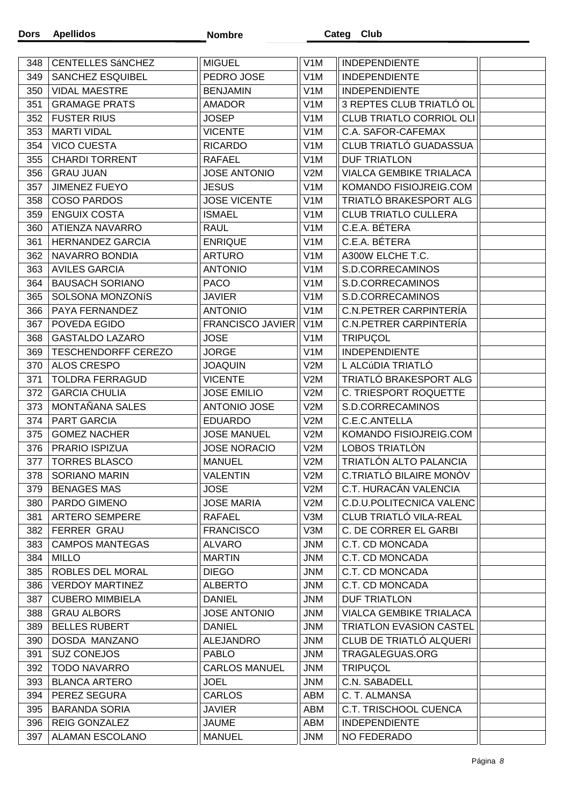| 348 | <b>CENTELLES SÁNCHEZ</b>   | <b>MIGUEL</b>           | V <sub>1</sub> M | <b>INDEPENDIENTE</b>            |  |
|-----|----------------------------|-------------------------|------------------|---------------------------------|--|
| 349 | SANCHEZ ESQUIBEL           | PEDRO JOSE              | V <sub>1</sub> M | <b>INDEPENDIENTE</b>            |  |
| 350 | <b>VIDAL MAESTRE</b>       | <b>BENJAMIN</b>         | V <sub>1</sub> M | <b>INDEPENDIENTE</b>            |  |
| 351 | <b>GRAMAGE PRATS</b>       | <b>AMADOR</b>           | V <sub>1</sub> M | 3 REPTES CLUB TRIATLÓ OL        |  |
| 352 | <b>FUSTER RIUS</b>         | <b>JOSEP</b>            | V <sub>1</sub> M | CLUB TRIATLO CORRIOL OLI        |  |
| 353 | <b>MARTI VIDAL</b>         | <b>VICENTE</b>          | V <sub>1</sub> M | C.A. SAFOR-CAFEMAX              |  |
| 354 | <b>VICO CUESTA</b>         | <b>RICARDO</b>          | V <sub>1</sub> M | CLUB TRIATLÓ GUADASSUA          |  |
| 355 | <b>CHARDI TORRENT</b>      | <b>RAFAEL</b>           | V <sub>1</sub> M | <b>DUF TRIATLON</b>             |  |
| 356 | <b>GRAU JUAN</b>           | <b>JOSE ANTONIO</b>     | V2M              | <b>VIALCA GEMBIKE TRIALACA</b>  |  |
| 357 | <b>JIMENEZ FUEYO</b>       | <b>JESUS</b>            | V <sub>1</sub> M | KOMANDO FISIOJREIG.COM          |  |
| 358 | <b>COSO PARDOS</b>         | <b>JOSE VICENTE</b>     | V <sub>1</sub> M | TRIATLÓ BRAKESPORT ALG          |  |
| 359 | <b>ENGUIX COSTA</b>        | <b>ISMAEL</b>           | V <sub>1</sub> M | <b>CLUB TRIATLO CULLERA</b>     |  |
| 360 | ATIENZA NAVARRO            | <b>RAUL</b>             | V <sub>1</sub> M | C.E.A. BÉTERA                   |  |
| 361 | <b>HERNANDEZ GARCIA</b>    | <b>ENRIQUE</b>          | V <sub>1</sub> M | C.E.A. BÉTERA                   |  |
| 362 | NAVARRO BONDIA             | <b>ARTURO</b>           | V <sub>1</sub> M | A300W ELCHE T.C.                |  |
| 363 | <b>AVILES GARCIA</b>       | <b>ANTONIO</b>          | V <sub>1</sub> M | S.D.CORRECAMINOS                |  |
| 364 | <b>BAUSACH SORIANO</b>     | <b>PACO</b>             | V <sub>1</sub> M | S.D.CORRECAMINOS                |  |
| 365 | SOLSONA MONZONIS           | <b>JAVIER</b>           | V <sub>1</sub> M | S.D.CORRECAMINOS                |  |
| 366 | PAYA FERNANDEZ             | <b>ANTONIO</b>          | V <sub>1</sub> M | C.N.PETRER CARPINTERÍA          |  |
| 367 | POVEDA EGIDO               | <b>FRANCISCO JAVIER</b> | V <sub>1</sub> M | C.N.PETRER CARPINTERÍA          |  |
| 368 | <b>GASTALDO LAZARO</b>     | <b>JOSE</b>             | V <sub>1</sub> M | <b>TRIPUÇOL</b>                 |  |
|     | <b>TESCHENDORFF CEREZO</b> | <b>JORGE</b>            | V <sub>1</sub> M | <b>INDEPENDIENTE</b>            |  |
| 369 |                            |                         |                  | L ALCÚDIA TRIATLÓ               |  |
| 370 | ALOS CRESPO                | <b>JOAQUIN</b>          | V2M              | TRIATLÓ BRAKESPORT ALG          |  |
| 371 | <b>TOLDRA FERRAGUD</b>     | <b>VICENTE</b>          | V2M              |                                 |  |
| 372 | <b>GARCIA CHULIA</b>       | <b>JOSE EMILIO</b>      | V2M              | C. TRIESPORT ROQUETTE           |  |
| 373 | MONTAÑANA SALES            | <b>ANTONIO JOSE</b>     | V2M              | S.D.CORRECAMINOS                |  |
| 374 | PART GARCIA                | <b>EDUARDO</b>          | V2M              | C.E.C.ANTELLA                   |  |
| 375 | <b>GOMEZ NACHER</b>        | <b>JOSE MANUEL</b>      | V2M              | KOMANDO FISIOJREIG.COM          |  |
| 376 | PRARIO ISPIZUA             | <b>JOSE NORACIO</b>     | V2M              | LOBOS TRIATLÓN                  |  |
| 377 | <b>TORRES BLASCO</b>       | <b>MANUEL</b>           | V2M              | TRIATLÓN ALTO PALANCIA          |  |
| 378 | <b>SORIANO MARIN</b>       | <b>VALENTIN</b>         | V2M              | C.TRIATLÓ BILAIRE MONÒV         |  |
| 379 | <b>BENAGES MAS</b>         | <b>JOSE</b>             | V2M              | C.T. HURACÁN VALENCIA           |  |
| 380 | PARDO GIMENO               | <b>JOSE MARIA</b>       | V2M              | <b>C.D.U.POLITECNICA VALENC</b> |  |
| 381 | <b>ARTERO SEMPERE</b>      | <b>RAFAEL</b>           | V3M              | CLUB TRIATLÓ VILA-REAL          |  |
| 382 | <b>FERRER GRAU</b>         | <b>FRANCISCO</b>        | V3M              | C. DE CORRER EL GARBI           |  |
| 383 | <b>CAMPOS MANTEGAS</b>     | <b>ALVARO</b>           | <b>JNM</b>       | C.T. CD MONCADA                 |  |
| 384 | <b>MILLO</b>               | <b>MARTIN</b>           | <b>JNM</b>       | C.T. CD MONCADA                 |  |
| 385 | ROBLES DEL MORAL           | <b>DIEGO</b>            | <b>JNM</b>       | C.T. CD MONCADA                 |  |
| 386 | <b>VERDOY MARTINEZ</b>     | <b>ALBERTO</b>          | <b>JNM</b>       | C.T. CD MONCADA                 |  |
| 387 | <b>CUBERO MIMBIELA</b>     | <b>DANIEL</b>           | <b>JNM</b>       | <b>DUF TRIATLON</b>             |  |
| 388 | <b>GRAU ALBORS</b>         | <b>JOSE ANTONIO</b>     | <b>JNM</b>       | VIALCA GEMBIKE TRIALACA         |  |
| 389 | <b>BELLES RUBERT</b>       | <b>DANIEL</b>           | <b>JNM</b>       | <b>TRIATLON EVASION CASTEL</b>  |  |
| 390 | DOSDA MANZANO              | <b>ALEJANDRO</b>        | <b>JNM</b>       | CLUB DE TRIATLÓ ALQUERI         |  |
| 391 | <b>SUZ CONEJOS</b>         | <b>PABLO</b>            | <b>JNM</b>       | TRAGALEGUAS.ORG                 |  |
| 392 | <b>TODO NAVARRO</b>        | <b>CARLOS MANUEL</b>    | JNM              | <b>TRIPUÇOL</b>                 |  |
| 393 | <b>BLANCA ARTERO</b>       | <b>JOEL</b>             | <b>JNM</b>       | C.N. SABADELL                   |  |
| 394 | PEREZ SEGURA               | <b>CARLOS</b>           | ABM              | C. T. ALMANSA                   |  |
| 395 | <b>BARANDA SORIA</b>       | <b>JAVIER</b>           | ABM              | C.T. TRISCHOOL CUENCA           |  |
| 396 | <b>REIG GONZALEZ</b>       | <b>JAUME</b>            | ABM              | <b>INDEPENDIENTE</b>            |  |
| 397 | ALAMAN ESCOLANO            | <b>MANUEL</b>           | JNM              | NO FEDERADO                     |  |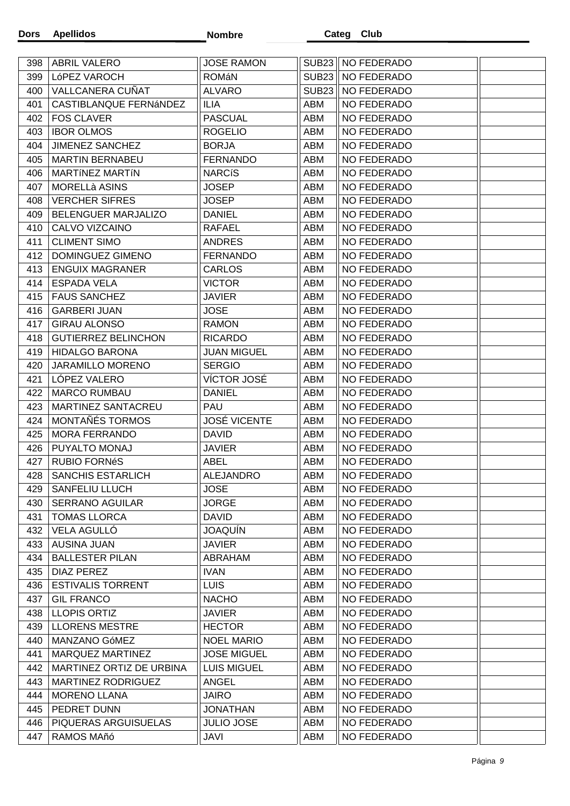**Apellidos Dors** 

| 398 | ABRIL VALERO               | <b>JOSE RAMON</b>   |              | SUB23    NO FEDERADO |  |
|-----|----------------------------|---------------------|--------------|----------------------|--|
| 399 | LóPEZ VAROCH               | ROMáN               |              | SUB23    NO FEDERADO |  |
| 400 | VALLCANERA CUÑAT           | <b>ALVARO</b>       | <b>SUB23</b> | NO FEDERADO          |  |
| 401 | CASTIBLANQUE FERNÁNDEZ     | <b>ILIA</b>         | ABM          | NO FEDERADO          |  |
| 402 | <b>FOS CLAVER</b>          | <b>PASCUAL</b>      | <b>ABM</b>   | NO FEDERADO          |  |
| 403 | <b>IBOR OLMOS</b>          | <b>ROGELIO</b>      | ABM          | NO FEDERADO          |  |
| 404 | <b>JIMENEZ SANCHEZ</b>     | <b>BORJA</b>        | ABM          | NO FEDERADO          |  |
| 405 | <b>MARTIN BERNABEU</b>     | <b>FERNANDO</b>     | ABM          | NO FEDERADO          |  |
| 406 | <b>MARTÍNEZ MARTÍN</b>     | <b>NARCíS</b>       | ABM          | NO FEDERADO          |  |
| 407 | <b>MORELLà ASINS</b>       | <b>JOSEP</b>        | ABM          | <b>NO FEDERADO</b>   |  |
| 408 | <b>VERCHER SIFRES</b>      | <b>JOSEP</b>        | ABM          | NO FEDERADO          |  |
| 409 | BELENGUER MARJALIZO        | <b>DANIEL</b>       | ABM          | NO FEDERADO          |  |
| 410 | CALVO VIZCAINO             | <b>RAFAEL</b>       | ABM          | NO FEDERADO          |  |
| 411 | <b>CLIMENT SIMO</b>        | <b>ANDRES</b>       | ABM          | NO FEDERADO          |  |
| 412 | DOMINGUEZ GIMENO           | <b>FERNANDO</b>     | ABM          | NO FEDERADO          |  |
| 413 | <b>ENGUIX MAGRANER</b>     | <b>CARLOS</b>       | ABM          | NO FEDERADO          |  |
| 414 | <b>ESPADA VELA</b>         | <b>VICTOR</b>       | ABM          | NO FEDERADO          |  |
| 415 | <b>FAUS SANCHEZ</b>        | <b>JAVIER</b>       | ABM          | NO FEDERADO          |  |
| 416 | <b>GARBERI JUAN</b>        | <b>JOSE</b>         | ABM          | NO FEDERADO          |  |
| 417 | <b>GIRAU ALONSO</b>        | <b>RAMON</b>        | <b>ABM</b>   | NO FEDERADO          |  |
| 418 | <b>GUTIERREZ BELINCHON</b> | <b>RICARDO</b>      | ABM          | NO FEDERADO          |  |
| 419 | <b>HIDALGO BARONA</b>      | <b>JUAN MIGUEL</b>  | ABM          | NO FEDERADO          |  |
| 420 | <b>JARAMILLO MORENO</b>    | <b>SERGIO</b>       | ABM          | NO FEDERADO          |  |
| 421 | LÓPEZ VALERO               | VÍCTOR JOSÉ         | ABM          | NO FEDERADO          |  |
| 422 | <b>MARCO RUMBAU</b>        | <b>DANIEL</b>       | ABM          | NO FEDERADO          |  |
| 423 | MARTINEZ SANTACREU         | <b>PAU</b>          | ABM          | NO FEDERADO          |  |
| 424 | MONTAÑÉS TORMOS            | <b>JOSÉ VICENTE</b> | ABM          | NO FEDERADO          |  |
| 425 | <b>MORA FERRANDO</b>       | <b>DAVID</b>        | ABM          | NO FEDERADO          |  |
| 426 | PUYALTO MONAJ              | <b>JAVIER</b>       | ABM          | NO FEDERADO          |  |
| 427 | <b>RUBIO FORNéS</b>        | <b>ABEL</b>         | ABM          | NO FEDERADO          |  |
| 428 | <b>SANCHIS ESTARLICH</b>   | <b>ALEJANDRO</b>    | <b>ABM</b>   | <b>NO FEDERADO</b>   |  |
| 429 | <b>SANFELIU LLUCH</b>      | <b>JOSE</b>         | ABM          | NO FEDERADO          |  |
| 430 | <b>SERRANO AGUILAR</b>     | <b>JORGE</b>        | ABM          | NO FEDERADO          |  |
| 431 | <b>TOMAS LLORCA</b>        | <b>DAVID</b>        | ABM          | NO FEDERADO          |  |
| 432 | VELA AGULLÓ                | <b>JOAQUÍN</b>      | ABM          | NO FEDERADO          |  |
| 433 | <b>AUSINA JUAN</b>         | <b>JAVIER</b>       | ABM          | NO FEDERADO          |  |
| 434 | <b>BALLESTER PILAN</b>     | ABRAHAM             | ABM          | NO FEDERADO          |  |
| 435 | <b>DIAZ PEREZ</b>          | <b>IVAN</b>         | ABM          | NO FEDERADO          |  |
| 436 | <b>ESTIVALIS TORRENT</b>   | <b>LUIS</b>         | ABM          | NO FEDERADO          |  |
| 437 | <b>GIL FRANCO</b>          | <b>NACHO</b>        | ABM          | NO FEDERADO          |  |
| 438 | <b>LLOPIS ORTIZ</b>        | <b>JAVIER</b>       | ABM          | NO FEDERADO          |  |
| 439 | <b>LLORENS MESTRE</b>      | <b>HECTOR</b>       | ABM          | NO FEDERADO          |  |
| 440 | MANZANO GóMEZ              | <b>NOEL MARIO</b>   | ABM          | NO FEDERADO          |  |
| 441 | MARQUEZ MARTINEZ           | <b>JOSE MIGUEL</b>  | ABM          | NO FEDERADO          |  |
| 442 | MARTINEZ ORTIZ DE URBINA   | <b>LUIS MIGUEL</b>  | ABM          | NO FEDERADO          |  |
| 443 | <b>MARTINEZ RODRIGUEZ</b>  | <b>ANGEL</b>        | ABM          | NO FEDERADO          |  |
| 444 | <b>MORENO LLANA</b>        | JAIRO               | ABM          | NO FEDERADO          |  |
| 445 | PEDRET DUNN                | <b>JONATHAN</b>     | ABM          | NO FEDERADO          |  |
| 446 | PIQUERAS ARGUISUELAS       | <b>JULIO JOSE</b>   | ABM          | NO FEDERADO          |  |
| 447 | RAMOS MAñó                 | JAVI                | ABM          | NO FEDERADO          |  |